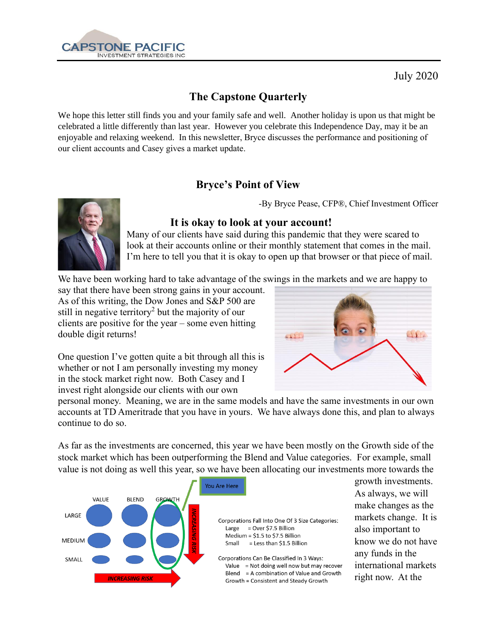

July 2020

# **The Capstone Quarterly**

We hope this letter still finds you and your family safe and well. Another holiday is upon us that might be celebrated a little differently than last year. However you celebrate this Independence Day, may it be an enjoyable and relaxing weekend. In this newsletter, Bryce discusses the performance and positioning of our client accounts and Casey gives a market update.

## **Bryce's Point of View**

-By Bryce Pease, CFP®, Chief Investment Officer



#### **It is okay to look at your account!**

Many of our clients have said during this pandemic that they were scared to look at their accounts online or their monthly statement that comes in the mail. I'm here to tell you that it is okay to open up that browser or that piece of mail.

We have been working hard to take advantage of the swings in the markets and we are happy to

say that there have been strong gains in your account. As of this writing, the Dow Jones and S&P 500 are still in negative territory<sup>2</sup> but the majority of our clients are positive for the year – some even hitting double digit returns!



One question I've gotten quite a bit through all this is whether or not I am personally investing my money in the stock market right now. Both Casey and I invest right alongside our clients with our own

personal money. Meaning, we are in the same models and have the same investments in our own accounts at TD Ameritrade that you have in yours. We have always done this, and plan to always continue to do so.

As far as the investments are concerned, this year we have been mostly on the Growth side of the stock market which has been outperforming the Blend and Value categories. For example, small value is not doing as well this year, so we have been allocating our investments more towards the



Corporations Fall Into One Of 3 Size Categories: Large  $=$  Over \$7.5 Billion Medium = \$1.5 to \$7.5 Billion = Less than \$1.5 Billion Small

Corporations Can Be Classified In 3 Ways: Value = Not doing well now but may recover Blend = A combination of Value and Growth Growth = Consistent and Steady Growth

growth investments. As always, we will make changes as the markets change. It is also important to know we do not have any funds in the international markets right now. At the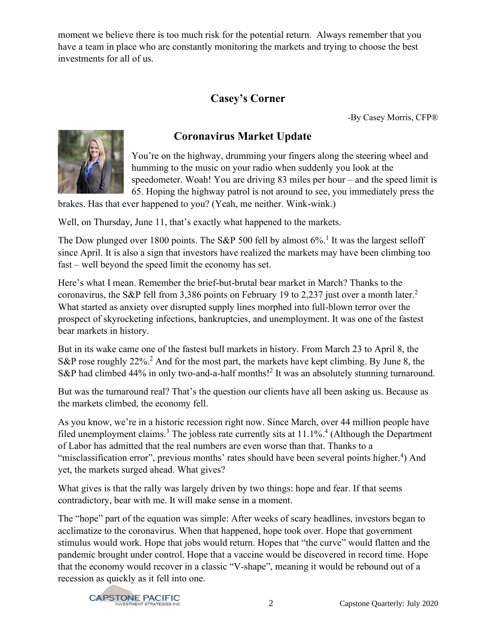moment we believe there is too much risk for the potential return. Always remember that you have a team in place who are constantly monitoring the markets and trying to choose the best investments for all of us.

## **Casey's Corner**

-By Casey Morris, CFP®





You're on the highway, drumming your fingers along the steering wheel and humming to the music on your radio when suddenly you look at the speedometer. Woah! You are driving 83 miles per hour – and the speed limit is 65. Hoping the highway patrol is not around to see, you immediately press the

brakes. Has that ever happened to you? (Yeah, me neither. Wink-wink.)

Well, on Thursday, June 11, that's exactly what happened to the markets.

The Dow plunged over 1800 points. The S&P 500 fell by almost  $6\%$ .<sup>1</sup> It was the largest selloff since April. It is also a sign that investors have realized the markets may have been climbing too fast – well beyond the speed limit the economy has set.

Here's what I mean. Remember the brief-but-brutal bear market in March? Thanks to the coronavirus, the S&P fell from 3,386 points on February 19 to 2,237 just over a month later.<sup>2</sup> What started as anxiety over disrupted supply lines morphed into full-blown terror over the prospect of skyrocketing infections, bankruptcies, and unemployment. It was one of the fastest bear markets in history.

But in its wake came one of the fastest bull markets in history. From March 23 to April 8, the S&P rose roughly  $22\%$ <sup>2</sup>. And for the most part, the markets have kept climbing. By June 8, the S&P had climbed 44% in only two-and-a-half months!<sup>2</sup> It was an absolutely stunning turnaround.

But was the turnaround real? That's the question our clients have all been asking us. Because as the markets climbed, the economy fell.

As you know, we're in a historic recession right now. Since March, over 44 million people have filed unemployment claims.<sup>3</sup> The jobless rate currently sits at  $11.1\%$ .<sup>4</sup> (Although the Department of Labor has admitted that the real numbers are even worse than that. Thanks to a "misclassification error", previous months' rates should have been several points higher.<sup>4</sup>) And yet, the markets surged ahead. What gives?

What gives is that the rally was largely driven by two things: hope and fear. If that seems contradictory, bear with me. It will make sense in a moment.

The "hope" part of the equation was simple: After weeks of scary headlines, investors began to acclimatize to the coronavirus. When that happened, hope took over. Hope that government stimulus would work. Hope that jobs would return. Hopes that "the curve" would flatten and the pandemic brought under control. Hope that a vaccine would be discovered in record time. Hope that the economy would recover in a classic "V-shape", meaning it would be rebound out of a recession as quickly as it fell into one.

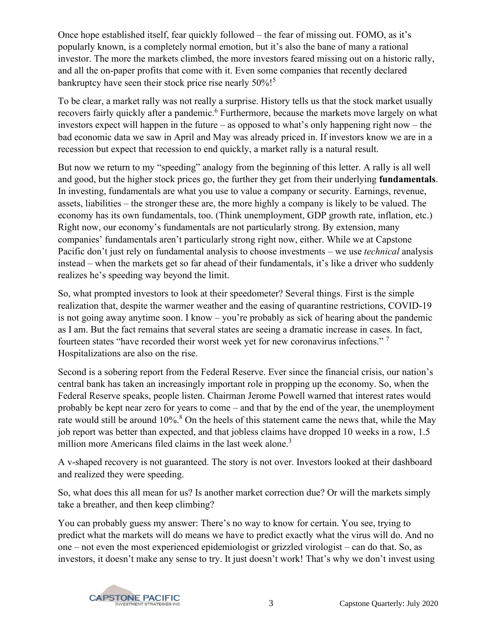Once hope established itself, fear quickly followed – the fear of missing out. FOMO, as it's popularly known, is a completely normal emotion, but it's also the bane of many a rational investor. The more the markets climbed, the more investors feared missing out on a historic rally, and all the on-paper profits that come with it. Even some companies that recently declared bankruptcy have seen their stock price rise nearly 50%!<sup>5</sup>

To be clear, a market rally was not really a surprise. History tells us that the stock market usually recovers fairly quickly after a pandemic.<sup>6</sup> Furthermore, because the markets move largely on what investors expect will happen in the future – as opposed to what's only happening right now – the bad economic data we saw in April and May was already priced in. If investors know we are in a recession but expect that recession to end quickly, a market rally is a natural result.

But now we return to my "speeding" analogy from the beginning of this letter. A rally is all well and good, but the higher stock prices go, the further they get from their underlying **fundamentals**. In investing, fundamentals are what you use to value a company or security. Earnings, revenue, assets, liabilities – the stronger these are, the more highly a company is likely to be valued. The economy has its own fundamentals, too. (Think unemployment, GDP growth rate, inflation, etc.) Right now, our economy's fundamentals are not particularly strong. By extension, many companies' fundamentals aren't particularly strong right now, either. While we at Capstone Pacific don't just rely on fundamental analysis to choose investments – we use *technical* analysis instead – when the markets get so far ahead of their fundamentals, it's like a driver who suddenly realizes he's speeding way beyond the limit.

So, what prompted investors to look at their speedometer? Several things. First is the simple realization that, despite the warmer weather and the easing of quarantine restrictions, COVID-19 is not going away anytime soon. I know – you're probably as sick of hearing about the pandemic as I am. But the fact remains that several states are seeing a dramatic increase in cases. In fact, fourteen states "have recorded their worst week yet for new coronavirus infections." <sup>7</sup> Hospitalizations are also on the rise.

Second is a sobering report from the Federal Reserve. Ever since the financial crisis, our nation's central bank has taken an increasingly important role in propping up the economy. So, when the Federal Reserve speaks, people listen. Chairman Jerome Powell warned that interest rates would probably be kept near zero for years to come – and that by the end of the year, the unemployment rate would still be around 10%.<sup>8</sup> On the heels of this statement came the news that, while the May job report was better than expected, and that jobless claims have dropped 10 weeks in a row, 1.5 million more Americans filed claims in the last week alone.<sup>3</sup>

A v-shaped recovery is not guaranteed. The story is not over. Investors looked at their dashboard and realized they were speeding.

So, what does this all mean for us? Is another market correction due? Or will the markets simply take a breather, and then keep climbing?

You can probably guess my answer: There's no way to know for certain. You see, trying to predict what the markets will do means we have to predict exactly what the virus will do. And no one – not even the most experienced epidemiologist or grizzled virologist – can do that. So, as investors, it doesn't make any sense to try. It just doesn't work! That's why we don't invest using

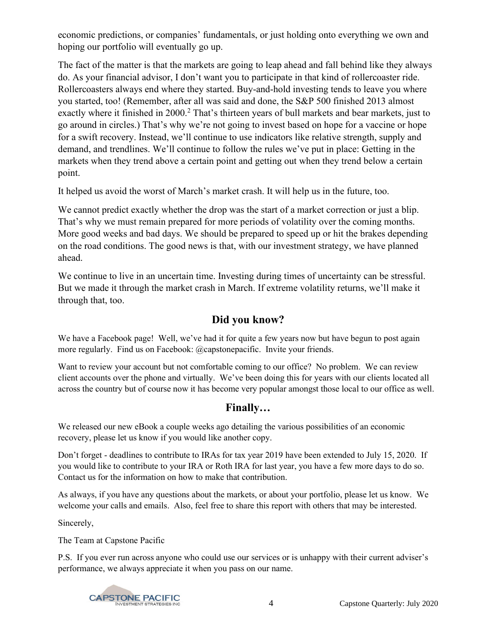economic predictions, or companies' fundamentals, or just holding onto everything we own and hoping our portfolio will eventually go up.

The fact of the matter is that the markets are going to leap ahead and fall behind like they always do. As your financial advisor, I don't want you to participate in that kind of rollercoaster ride. Rollercoasters always end where they started. Buy-and-hold investing tends to leave you where you started, too! (Remember, after all was said and done, the S&P 500 finished 2013 almost exactly where it finished in 2000.<sup>2</sup> That's thirteen years of bull markets and bear markets, just to go around in circles.) That's why we're not going to invest based on hope for a vaccine or hope for a swift recovery. Instead, we'll continue to use indicators like relative strength, supply and demand, and trendlines. We'll continue to follow the rules we've put in place: Getting in the markets when they trend above a certain point and getting out when they trend below a certain point.

It helped us avoid the worst of March's market crash. It will help us in the future, too.

We cannot predict exactly whether the drop was the start of a market correction or just a blip. That's why we must remain prepared for more periods of volatility over the coming months. More good weeks and bad days. We should be prepared to speed up or hit the brakes depending on the road conditions. The good news is that, with our investment strategy, we have planned ahead.

We continue to live in an uncertain time. Investing during times of uncertainty can be stressful. But we made it through the market crash in March. If extreme volatility returns, we'll make it through that, too.

### **Did you know?**

We have a Facebook page! Well, we've had it for quite a few years now but have begun to post again more regularly. Find us on Facebook: @capstonepacific. Invite your friends.

Want to review your account but not comfortable coming to our office? No problem. We can review client accounts over the phone and virtually. We've been doing this for years with our clients located all across the country but of course now it has become very popular amongst those local to our office as well.

## **Finally…**

We released our new eBook a couple weeks ago detailing the various possibilities of an economic recovery, please let us know if you would like another copy.

Don't forget - deadlines to contribute to IRAs for tax year 2019 have been extended to July 15, 2020. If you would like to contribute to your IRA or Roth IRA for last year, you have a few more days to do so. Contact us for the information on how to make that contribution.

As always, if you have any questions about the markets, or about your portfolio, please let us know. We welcome your calls and emails. Also, feel free to share this report with others that may be interested.

Sincerely,

The Team at Capstone Pacific

P.S. If you ever run across anyone who could use our services or is unhappy with their current adviser's performance, we always appreciate it when you pass on our name.